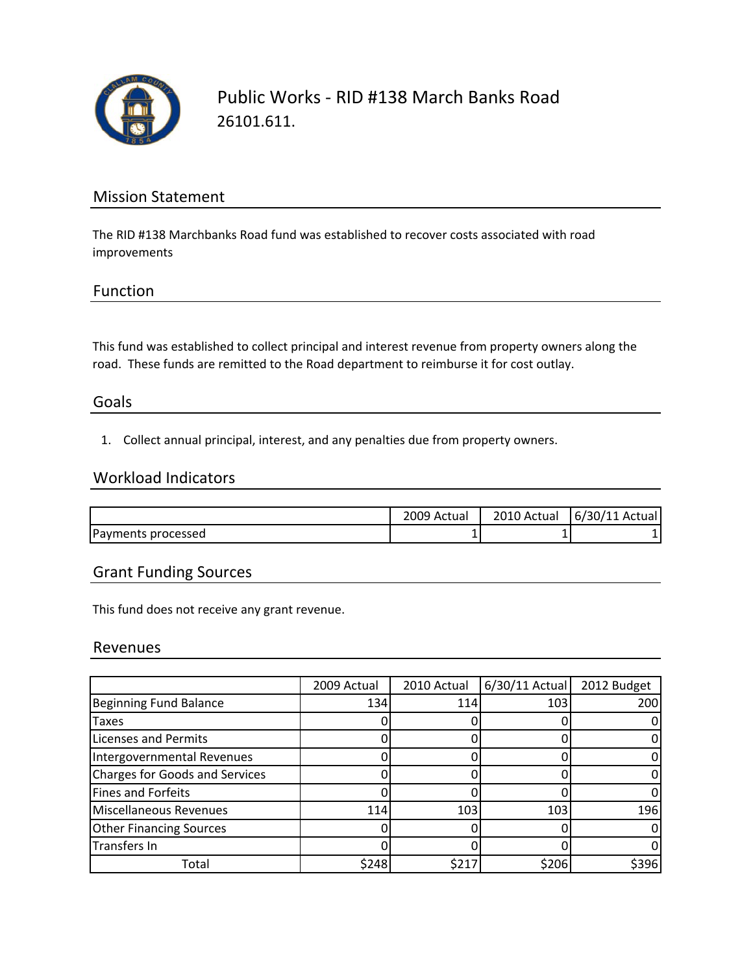

Public Works ‐ RID #138 March Banks Road 26101.611.

## Mission Statement

The RID #138 Marchbanks Road fund was established to recover costs associated with road improvements

### Function

This fund was established to collect principal and interest revenue from property owners along the road. These funds are remitted to the Road department to reimburse it for cost outlay.

### Goals

1. Collect annual principal, interest, and any penalties due from property owners.

## Workload Indicators

|                    | 2009 Actual | 2010 Actual | 6/30/11 Actual |
|--------------------|-------------|-------------|----------------|
| Payments processed | -           |             |                |

## Grant Funding Sources

This fund does not receive any grant revenue.

### Revenues

|                                       | 2009 Actual | 2010 Actual | $6/30/11$ Actual | 2012 Budget |
|---------------------------------------|-------------|-------------|------------------|-------------|
| <b>Beginning Fund Balance</b>         | 134         | 114         | 103              | 200         |
| Taxes                                 |             |             |                  |             |
| <b>Licenses and Permits</b>           |             |             |                  |             |
| Intergovernmental Revenues            |             |             |                  |             |
| <b>Charges for Goods and Services</b> |             |             |                  |             |
| <b>Fines and Forfeits</b>             |             |             |                  |             |
| Miscellaneous Revenues                | 114         | 103         | 103              | 196         |
| <b>Other Financing Sources</b>        |             |             |                  |             |
| Transfers In                          |             |             |                  |             |
| Total                                 | \$248       | \$217       | \$206            | \$396       |